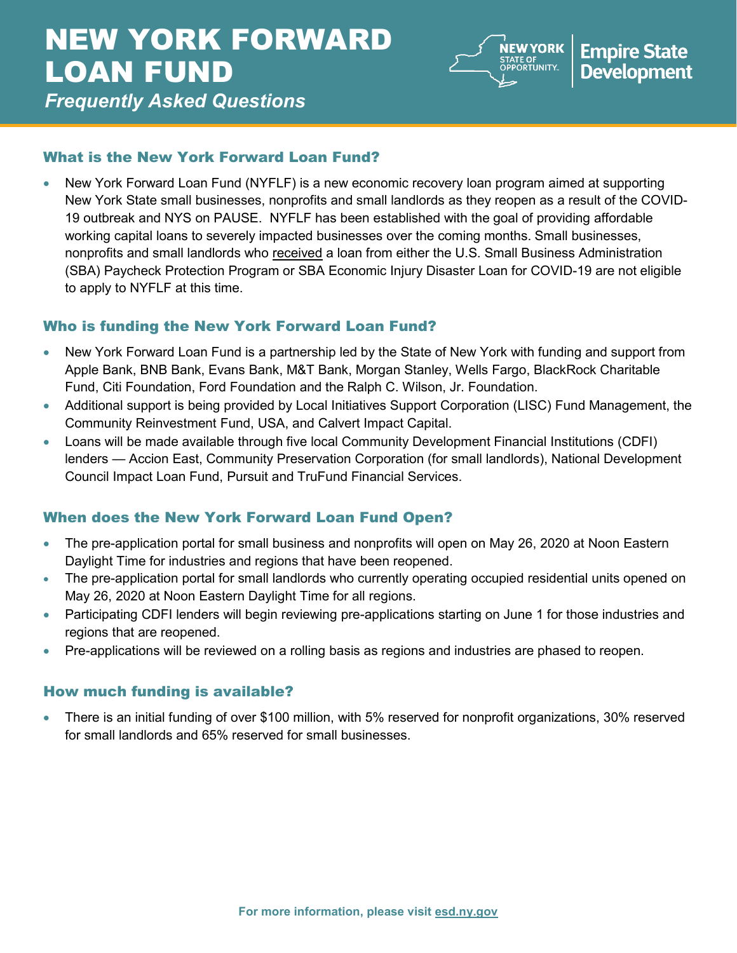# NEW YORK FORWARD LOAN FUND



*Frequently Asked Questions*

## What is the New York Forward Loan Fund?

• New York Forward Loan Fund (NYFLF) is a new economic recovery loan program aimed at supporting New York State small businesses, nonprofits and small landlords as they reopen as a result of the COVID-19 outbreak and NYS on PAUSE. NYFLF has been established with the goal of providing affordable working capital loans to severely impacted businesses over the coming months. Small businesses, nonprofits and small landlords who received a loan from either the U.S. Small Business Administration (SBA) Paycheck Protection Program or SBA Economic Injury Disaster Loan for COVID-19 are not eligible to apply to NYFLF at this time.

## Who is funding the New York Forward Loan Fund?

- New York Forward Loan Fund is a partnership led by the State of New York with funding and support from Apple Bank, BNB Bank, Evans Bank, M&T Bank, Morgan Stanley, Wells Fargo, BlackRock Charitable Fund, Citi Foundation, Ford Foundation and the Ralph C. Wilson, Jr. Foundation.
- Additional support is being provided by Local Initiatives Support Corporation (LISC) Fund Management, the Community Reinvestment Fund, USA, and Calvert Impact Capital.
- Loans will be made available through five local Community Development Financial Institutions (CDFI) lenders — Accion East, Community Preservation Corporation (for small landlords), National Development Council Impact Loan Fund, Pursuit and TruFund Financial Services.

## When does the New York Forward Loan Fund Open?

- The pre-application portal for small business and nonprofits will open on May 26, 2020 at Noon Eastern Daylight Time for industries and regions that have been reopened.
- The pre-application portal for small landlords who currently operating occupied residential units opened on May 26, 2020 at Noon Eastern Daylight Time for all regions.
- Participating CDFI lenders will begin reviewing pre-applications starting on June 1 for those industries and regions that are reopened.
- Pre-applications will be reviewed on a rolling basis as regions and industries are phased to reopen.

## How much funding is available?

• There is an initial funding of over \$100 million, with 5% reserved for nonprofit organizations, 30% reserved for small landlords and 65% reserved for small businesses.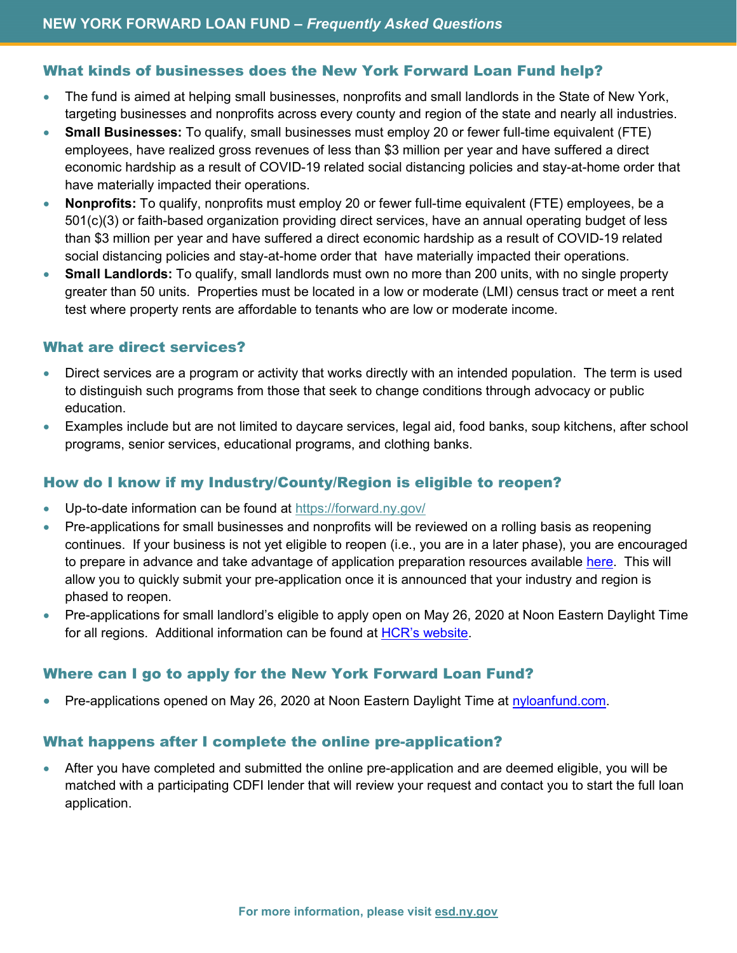#### What kinds of businesses does the New York Forward Loan Fund help?

- The fund is aimed at helping small businesses, nonprofits and small landlords in the State of New York, targeting businesses and nonprofits across every county and region of the state and nearly all industries.
- **Small Businesses:** To qualify, small businesses must employ 20 or fewer full-time equivalent (FTE) employees, have realized gross revenues of less than \$3 million per year and have suffered a direct economic hardship as a result of COVID-19 related social distancing policies and stay-at-home order that have materially impacted their operations.
- **Nonprofits:** To qualify, nonprofits must employ 20 or fewer full-time equivalent (FTE) employees, be a 501(c)(3) or faith-based organization providing direct services, have an annual operating budget of less than \$3 million per year and have suffered a direct economic hardship as a result of COVID-19 related social distancing policies and stay-at-home order that have materially impacted their operations.
- **Small Landlords:** To qualify, small landlords must own no more than 200 units, with no single property greater than 50 units. Properties must be located in a low or moderate (LMI) census tract or meet a rent test where property rents are affordable to tenants who are low or moderate income.

#### What are direct services?

- Direct services are a program or activity that works directly with an intended population. The term is used to distinguish such programs from those that seek to change conditions through advocacy or public education.
- Examples include but are not limited to daycare services, legal aid, food banks, soup kitchens, after school programs, senior services, educational programs, and clothing banks.

#### How do I know if my Industry/County/Region is eligible to reopen?

- Up-to-date information can be found at<https://forward.ny.gov/>
- Pre-applications for small businesses and nonprofits will be reviewed on a rolling basis as reopening  continues. If your business is not yet eligible to reopen (i.e., you are in a later phase), you are encouraged to prepare in advance and take advantage of application preparation resources available [here.](https://esd.ny.gov/nyforwardloans-info#organizations-available-to-assist) This will allow you to quickly submit your pre-application once it is announced that your industry and region is phased to reopen.
- Pre-applications for small landlord's eligible to apply open on May 26, 2020 at Noon Eastern Daylight Time for all regions. Additional information can be found at [HCR's website.](https://hcr.ny.gov/NYForwardLoan)

#### Where can I go to apply for the New York Forward Loan Fund?

Pre-applications opened on May 26, 2020 at Noon Eastern Daylight Time at [nyloanfund.com.](http://www.nyloanfund.com/)

#### What happens after I complete the online pre-application?

• After you have completed and submitted the online pre-application and are deemed eligible, you will be matched with a participating CDFI lender that will review your request and contact you to start the full loan application.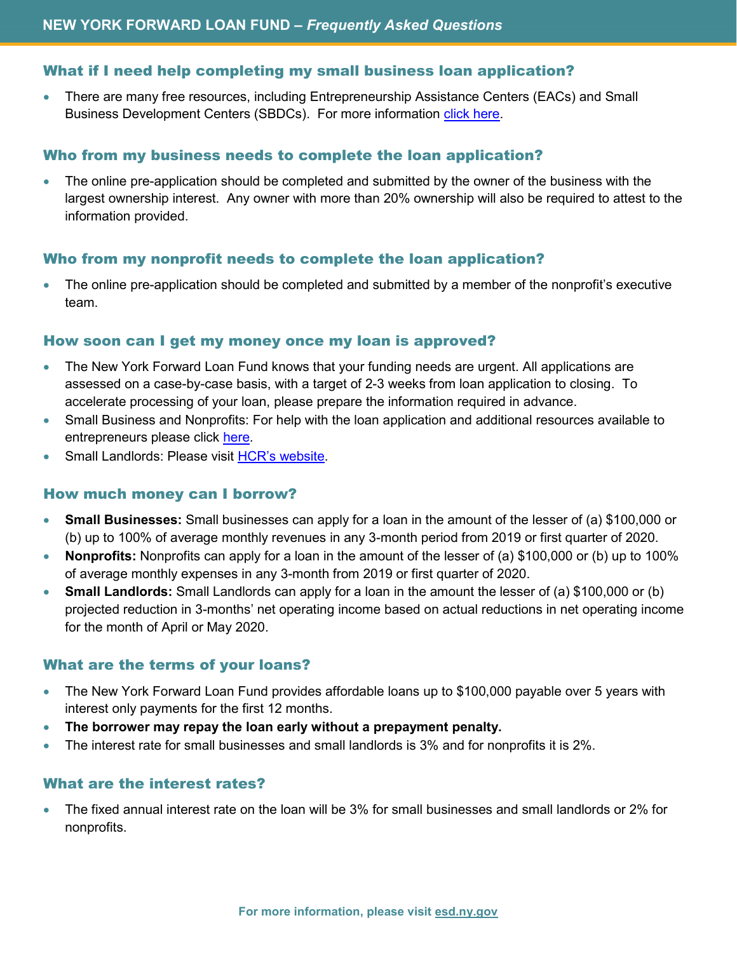#### What if I need help completing my small business loan application?

• There are many free resources, including Entrepreneurship Assistance Centers (EACs) and Small Business Development Centers (SBDCs). For more information [click here.](https://esd.ny.gov/nyforwardloans-info#organizations-available-to-assist)

#### Who from my business needs to complete the loan application?

• The online pre-application should be completed and submitted by the owner of the business with the largest ownership interest. Any owner with more than 20% ownership will also be required to attest to the information provided.

#### Who from my nonprofit needs to complete the loan application?

• The online pre-application should be completed and submitted by a member of the nonprofit's executive team.

#### How soon can I get my money once my loan is approved?

- The New York Forward Loan Fund knows that your funding needs are urgent. All applications are assessed on a case-by-case basis, with a target of 2-3 weeks from loan application to closing. To accelerate processing of your loan, please prepare the information required in advance.
- Small Business and Nonprofits: For help with the loan application and additional resources available to entrepreneurs please click [here.](https://esd.ny.gov/nyforwardloans-info#organizations-available-to-assist)
- Small Landlords: Please visit [HCR's website.](https://hcr.ny.gov/NYForwardLoan)

#### How much money can I borrow?

- **Small Businesses:** Small businesses can apply for a loan in the amount of the lesser of (a) \$100,000 or (b) up to 100% of average monthly revenues in any 3-month period from 2019 or first quarter of 2020.
- **Nonprofits:** Nonprofits can apply for a loan in the amount of the lesser of (a) \$100,000 or (b) up to 100% of average monthly expenses in any 3-month from 2019 or first quarter of 2020.
- **Small Landlords:** Small Landlords can apply for a loan in the amount the lesser of (a) \$100,000 or (b) projected reduction in 3-months' net operating income based on actual reductions in net operating income for the month of April or May 2020.

#### What are the terms of your loans?

- The New York Forward Loan Fund provides affordable loans up to \$100,000 payable over 5 years with interest only payments for the first 12 months.
- **The borrower may repay the loan early without a prepayment penalty.**
- The interest rate for small businesses and small landlords is 3% and for nonprofits it is 2%.

#### What are the interest rates?

• The fixed annual interest rate on the loan will be 3% for small businesses and small landlords or 2% for nonprofits.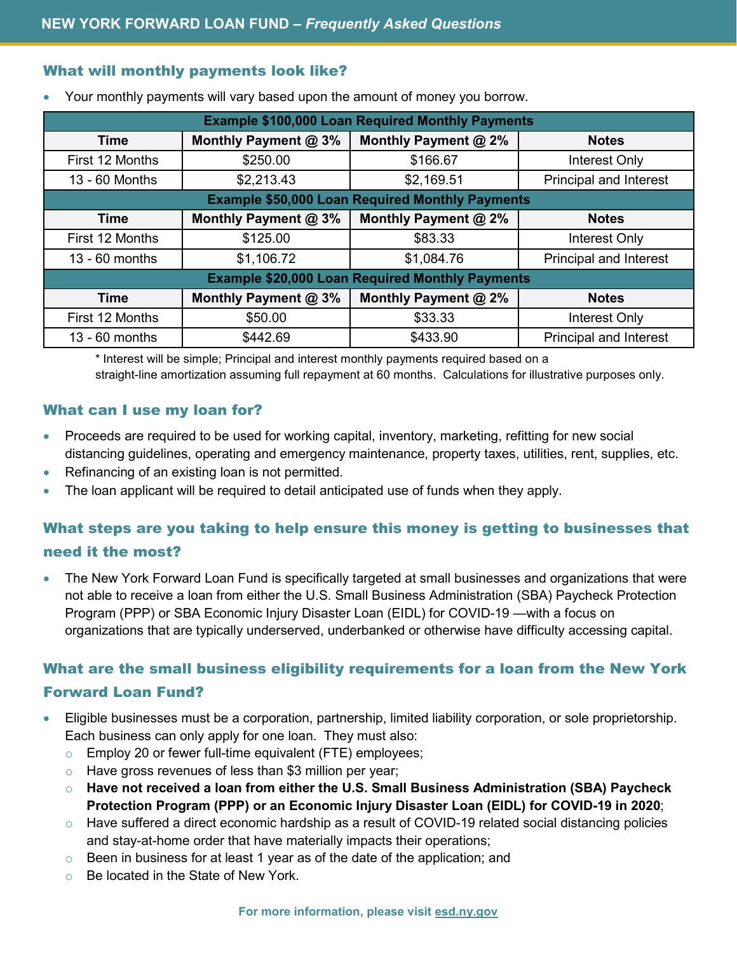#### What will monthly payments look like?

| <b>Example \$100,000 Loan Required Monthly Payments</b> |                      |                      |                               |
|---------------------------------------------------------|----------------------|----------------------|-------------------------------|
| Time                                                    | Monthly Payment @ 3% | Monthly Payment @ 2% | <b>Notes</b>                  |
| First 12 Months                                         | \$250.00             | \$166.67             | Interest Only                 |
| 13 - 60 Months                                          | \$2,213.43           | \$2,169.51           | <b>Principal and Interest</b> |
| <b>Example \$50,000 Loan Required Monthly Payments</b>  |                      |                      |                               |
| <b>Time</b>                                             | Monthly Payment @ 3% | Monthly Payment @ 2% | <b>Notes</b>                  |
| First 12 Months                                         | \$125.00             | \$83.33              | Interest Only                 |
| $13 - 60$ months                                        | \$1,106.72           | \$1,084.76           | <b>Principal and Interest</b> |
| <b>Example \$20,000 Loan Required Monthly Payments</b>  |                      |                      |                               |
| <b>Time</b>                                             | Monthly Payment @ 3% | Monthly Payment @ 2% | <b>Notes</b>                  |
| First 12 Months                                         | \$50.00              | \$33.33              | Interest Only                 |
| $13 - 60$ months                                        | \$442.69             | \$433.90             | <b>Principal and Interest</b> |

• Your monthly payments will vary based upon the amount of money you borrow.

\* Interest will be simple; Principal and interest monthly payments required based on a straight-line amortization assuming full repayment at 60 months. Calculations for illustrative purposes only.

#### What can I use my loan for?

- Proceeds are required to be used for working capital, inventory, marketing, refitting for new social distancing guidelines, operating and emergency maintenance, property taxes, utilities, rent, supplies, etc.
- Refinancing of an existing loan is not permitted.
- The loan applicant will be required to detail anticipated use of funds when they apply.

## What steps are you taking to help ensure this money is getting to businesses that need it the most?

• The New York Forward Loan Fund is specifically targeted at small businesses and organizations that were not able to receive a loan from either the U.S. Small Business Administration (SBA) Paycheck Protection Program (PPP) or SBA Economic Injury Disaster Loan (EIDL) for COVID-19 —with a focus on organizations that are typically underserved, underbanked or otherwise have difficulty accessing capital.

### What are the small business eligibility requirements for a loan from the New York

#### Forward Loan Fund?

- Eligible businesses must be a corporation, partnership, limited liability corporation, or sole proprietorship. Each business can only apply for one loan. They must also:
	- o Employ 20 or fewer full-time equivalent (FTE) employees;
	- o Have gross revenues of less than \$3 million per year;
	- o **Have not received a loan from either the U.S. Small Business Administration (SBA) Paycheck Protection Program (PPP) or an Economic Injury Disaster Loan (EIDL) for COVID-19 in 2020**;
	- o Have suffered a direct economic hardship as a result of COVID-19 related social distancing policies and stay-at-home order that have materially impacts their operations;
	- $\circ$  Been in business for at least 1 year as of the date of the application; and
	- o Be located in the State of New York.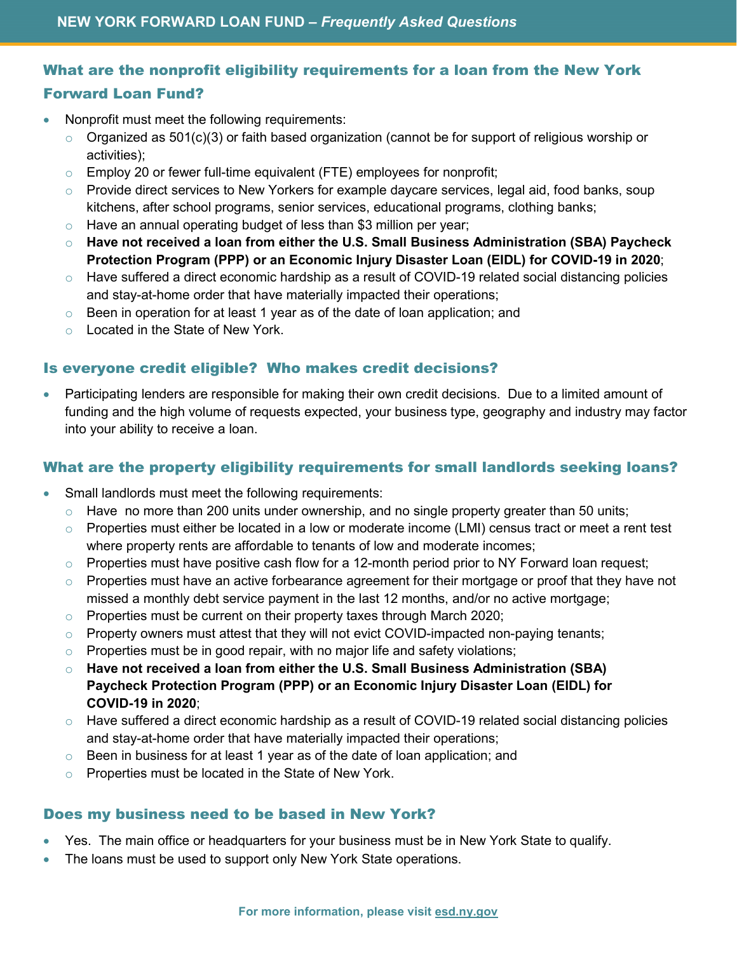## What are the nonprofit eligibility requirements for a loan from the New York Forward Loan Fund?

- Nonprofit must meet the following requirements:
	- $\circ$  Organized as 501(c)(3) or faith based organization (cannot be for support of religious worship or activities);
	- $\circ$  Employ 20 or fewer full-time equivalent (FTE) employees for nonprofit;
	- $\circ$  Provide direct services to New Yorkers for example daycare services, legal aid, food banks, soup kitchens, after school programs, senior services, educational programs, clothing banks;
	- $\circ$  Have an annual operating budget of less than \$3 million per year;
	- o **Have not received a loan from either the U.S. Small Business Administration (SBA) Paycheck Protection Program (PPP) or an Economic Injury Disaster Loan (EIDL) for COVID-19 in 2020**;
	- o Have suffered a direct economic hardship as a result of COVID-19 related social distancing policies and stay-at-home order that have materially impacted their operations;
	- $\circ$  Been in operation for at least 1 year as of the date of loan application; and
	- o Located in the State of New York.

#### Is everyone credit eligible? Who makes credit decisions?

• Participating lenders are responsible for making their own credit decisions. Due to a limited amount of funding and the high volume of requests expected, your business type, geography and industry may factor into your ability to receive a loan.

#### What are the property eligibility requirements for small landlords seeking loans?

- Small landlords must meet the following requirements:
	- $\circ$  Have no more than 200 units under ownership, and no single property greater than 50 units;
	- $\circ$  Properties must either be located in a low or moderate income (LMI) census tract or meet a rent test where property rents are affordable to tenants of low and moderate incomes;
	- $\circ$  Properties must have positive cash flow for a 12-month period prior to NY Forward loan request;
	- $\circ$  Properties must have an active forbearance agreement for their mortgage or proof that they have not missed a monthly debt service payment in the last 12 months, and/or no active mortgage;
	- $\circ$  Properties must be current on their property taxes through March 2020;
	- $\circ$  Property owners must attest that they will not evict COVID-impacted non-paying tenants;
	- $\circ$  Properties must be in good repair, with no major life and safety violations;
	- o **Have not received a loan from either the U.S. Small Business Administration (SBA) Paycheck Protection Program (PPP) or an Economic Injury Disaster Loan (EIDL) for COVID-19 in 2020**;
	- $\circ$  Have suffered a direct economic hardship as a result of COVID-19 related social distancing policies and stay-at-home order that have materially impacted their operations;
	- $\circ$  Been in business for at least 1 year as of the date of loan application; and
	- o Properties must be located in the State of New York.

#### Does my business need to be based in New York?

- Yes. The main office or headquarters for your business must be in New York State to qualify.
- The loans must be used to support only New York State operations.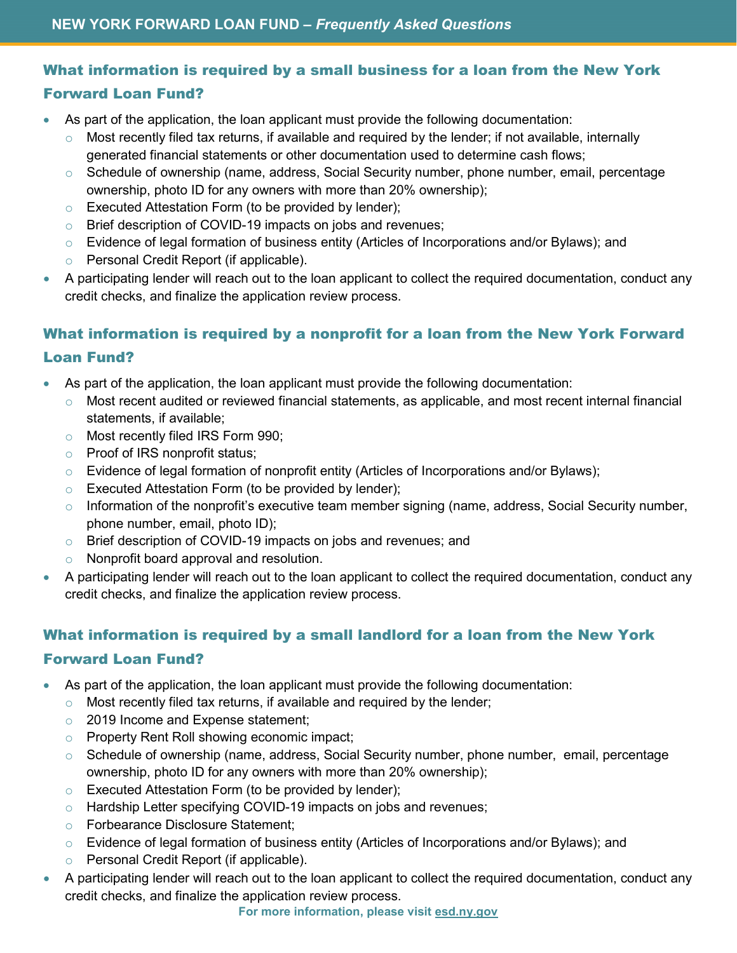## What information is required by a small business for a loan from the New York Forward Loan Fund?

- As part of the application, the loan applicant must provide the following documentation:
	- o Most recently filed tax returns, if available and required by the lender; if not available, internally generated financial statements or other documentation used to determine cash flows;
	- o Schedule of ownership (name, address, Social Security number, phone number, email, percentage ownership, photo ID for any owners with more than 20% ownership);
	- $\circ$  Executed Attestation Form (to be provided by lender);
	- o Brief description of COVID-19 impacts on jobs and revenues;
	- $\circ$  Evidence of legal formation of business entity (Articles of Incorporations and/or Bylaws); and
	- o Personal Credit Report (if applicable).
- A participating lender will reach out to the loan applicant to collect the required documentation, conduct any credit checks, and finalize the application review process.

## What information is required by a nonprofit for a loan from the New York Forward Loan Fund?

- As part of the application, the loan applicant must provide the following documentation:
	- $\circ$  Most recent audited or reviewed financial statements, as applicable, and most recent internal financial statements, if available;
	- o Most recently filed IRS Form 990;
	- o Proof of IRS nonprofit status;
	- o Evidence of legal formation of nonprofit entity (Articles of Incorporations and/or Bylaws);
	- o Executed Attestation Form (to be provided by lender);
	- $\circ$  Information of the nonprofit's executive team member signing (name, address, Social Security number, phone number, email, photo ID);
	- o Brief description of COVID-19 impacts on jobs and revenues; and
	- o Nonprofit board approval and resolution.
- A participating lender will reach out to the loan applicant to collect the required documentation, conduct any credit checks, and finalize the application review process.

## What information is required by a small landlord for a loan from the New York Forward Loan Fund?

- As part of the application, the loan applicant must provide the following documentation:
	- $\circ$  Most recently filed tax returns, if available and required by the lender;
	- 2019 Income and Expense statement;
	- o Property Rent Roll showing economic impact;
	- o Schedule of ownership (name, address, Social Security number, phone number, email, percentage ownership, photo ID for any owners with more than 20% ownership);
	- o Executed Attestation Form (to be provided by lender);
	- o Hardship Letter specifying COVID-19 impacts on jobs and revenues;
	- o Forbearance Disclosure Statement;
	- $\circ$  Evidence of legal formation of business entity (Articles of Incorporations and/or Bylaws); and
	- o Personal Credit Report (if applicable).
- A participating lender will reach out to the loan applicant to collect the required documentation, conduct any credit checks, and finalize the application review process.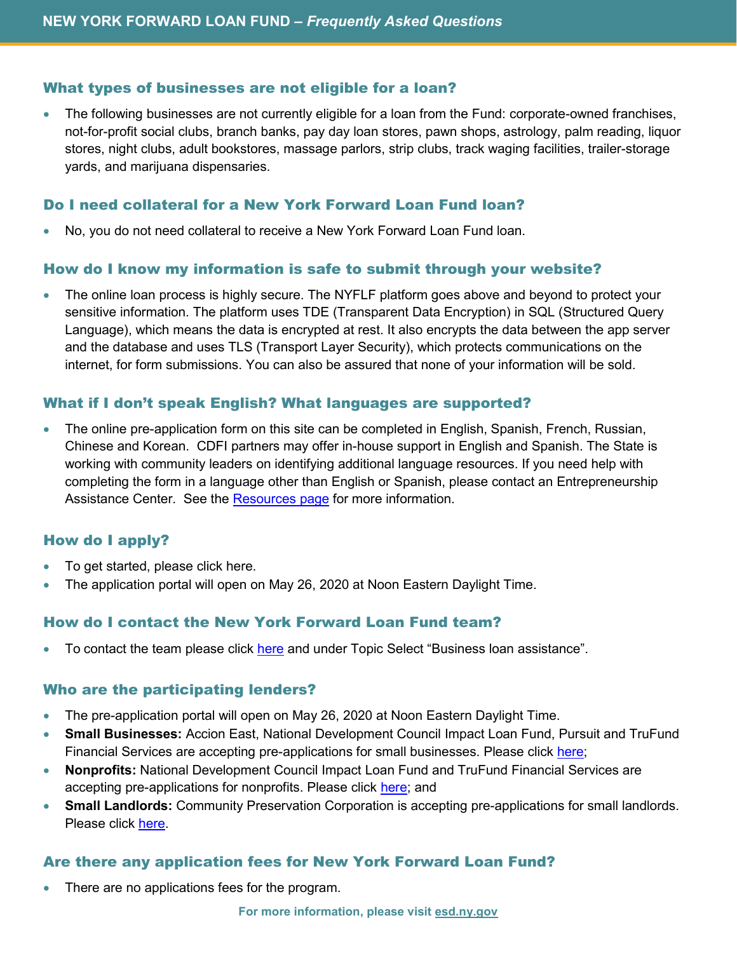#### What types of businesses are not eligible for a loan?

• The following businesses are not currently eligible for a loan from the Fund: corporate-owned franchises, not-for-profit social clubs, branch banks, pay day loan stores, pawn shops, astrology, palm reading, liquor stores, night clubs, adult bookstores, massage parlors, strip clubs, track waging facilities, trailer-storage yards, and marijuana dispensaries.

#### Do I need collateral for a New York Forward Loan Fund loan?

• No, you do not need collateral to receive a New York Forward Loan Fund loan.

#### How do I know my information is safe to submit through your website?

• The online loan process is highly secure. The NYFLF platform goes above and beyond to protect your sensitive information. The platform uses TDE (Transparent Data Encryption) in SQL (Structured Query Language), which means the data is encrypted at rest. It also encrypts the data between the app server and the database and uses TLS (Transport Layer Security), which protects communications on the internet, for form submissions. You can also be assured that none of your information will be sold.

#### What if I don't speak English? What languages are supported?

• The online pre-application form on this site can be completed in English, Spanish, French, Russian, Chinese and Korean. CDFI partners may offer in-house support in English and Spanish. The State is working with community leaders on identifying additional language resources. If you need help with completing the form in a language other than English or Spanish, please contact an Entrepreneurship Assistance Center. See the [Resources page](https://esd.ny.gov/nyforwardloans-info#organizations-available-to-assist) for more information.

#### How do I apply?

- To get started, please click here.
- The application portal will open on May 26, 2020 at Noon Eastern Daylight Time.

#### How do I contact the New York Forward Loan Fund team?

To contact the team please click [here](https://esd.ny.gov/content/submit-your-covid-19-related-business-questions-here) and under Topic Select "Business loan assistance".

#### Who are the participating lenders?

- The pre-application portal will open on May 26, 2020 at Noon Eastern Daylight Time.
- **Small Businesses:** Accion East, National Development Council Impact Loan Fund, Pursuit and TruFund Financial Services are accepting pre-applications for small businesses. Please click [here;](http://www.nyloanfund.com/)
- **Nonprofits:** National Development Council Impact Loan Fund and TruFund Financial Services are accepting pre-applications for nonprofits. Please click [here;](http://www.nyloanfund.com/) and
- **Small Landlords:** Community Preservation Corporation is accepting pre-applications for small landlords. Please click [here.](http://www.nyloanfund.com/)

#### Are there any application fees for New York Forward Loan Fund?

There are no applications fees for the program.